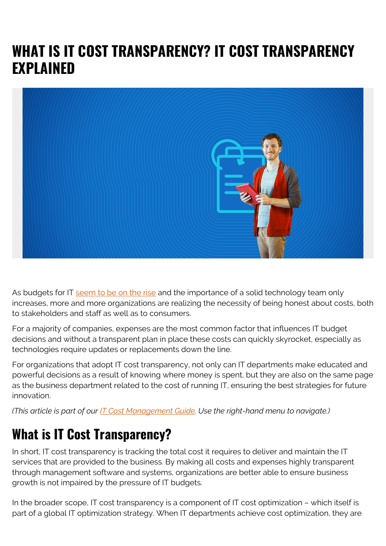# **WHAT IS IT COST TRANSPARENCY? IT COST TRANSPARENCY EXPLAINED**



As budgets for IT [seem to be on the rise](https://www.zdnet.com/article/why-cios-have-bigger-it-budgets-for-2018-and-what-theyre-buying/) and the importance of a solid technology team only increases, more and more organizations are realizing the necessity of being honest about costs, both to stakeholders and staff as well as to consumers.

For a majority of companies, expenses are the most common factor that influences IT budget decisions and without a transparent plan in place these costs can quickly skyrocket, especially as technologies require updates or replacements down the line.

For organizations that adopt IT cost transparency, not only can IT departments make educated and powerful decisions as a result of knowing where money is spent, but they are also on the same page as the business department related to the cost of running IT, ensuring the best strategies for future innovation.

*(This article is part of our [IT Cost Management Guide.](https://blogs.bmc.com/blogs/it-budget-management/) Use the right-hand menu to navigate.)*

## **What is IT Cost Transparency?**

In short, IT cost transparency is tracking the total cost it requires to deliver and maintain the IT services that are provided to the business. By making all costs and expenses highly transparent through management software and systems, organizations are better able to ensure business growth is not impaired by the pressure of IT budgets.

In the broader scope, IT cost transparency is a component of IT cost optimization – which itself is part of a global IT optimization strategy. When IT departments achieve cost optimization, they are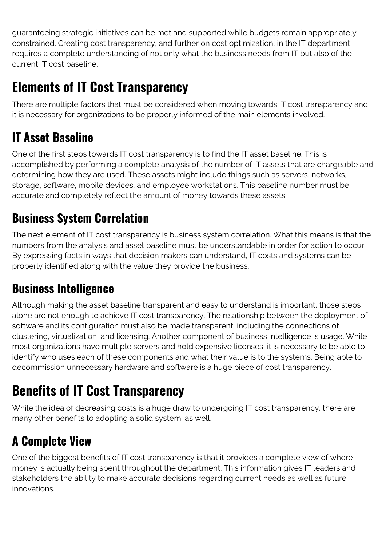guaranteeing strategic initiatives can be met and supported while budgets remain appropriately constrained. Creating cost transparency, and further on cost optimization, in the IT department requires a complete understanding of not only what the business needs from IT but also of the current IT cost baseline.

# **Elements of IT Cost Transparency**

There are multiple factors that must be considered when moving towards IT cost transparency and it is necessary for organizations to be properly informed of the main elements involved.

## **IT Asset Baseline**

One of the first steps towards IT cost transparency is to find the IT asset baseline. This is accomplished by performing a complete analysis of the number of IT assets that are chargeable and determining how they are used. These assets might include things such as servers, networks, storage, software, mobile devices, and employee workstations. This baseline number must be accurate and completely reflect the amount of money towards these assets.

### **Business System Correlation**

The next element of IT cost transparency is business system correlation. What this means is that the numbers from the analysis and asset baseline must be understandable in order for action to occur. By expressing facts in ways that decision makers can understand, IT costs and systems can be properly identified along with the value they provide the business.

#### **Business Intelligence**

Although making the asset baseline transparent and easy to understand is important, those steps alone are not enough to achieve IT cost transparency. The relationship between the deployment of software and its configuration must also be made transparent, including the connections of clustering, virtualization, and licensing. Another component of business intelligence is usage. While most organizations have multiple servers and hold expensive licenses, it is necessary to be able to identify who uses each of these components and what their value is to the systems. Being able to decommission unnecessary hardware and software is a huge piece of cost transparency.

# **Benefits of IT Cost Transparency**

While the idea of decreasing costs is a huge draw to undergoing IT cost transparency, there are many other benefits to adopting a solid system, as well.

### **A Complete View**

One of the biggest benefits of IT cost transparency is that it provides a complete view of where money is actually being spent throughout the department. This information gives IT leaders and stakeholders the ability to make accurate decisions regarding current needs as well as future innovations.